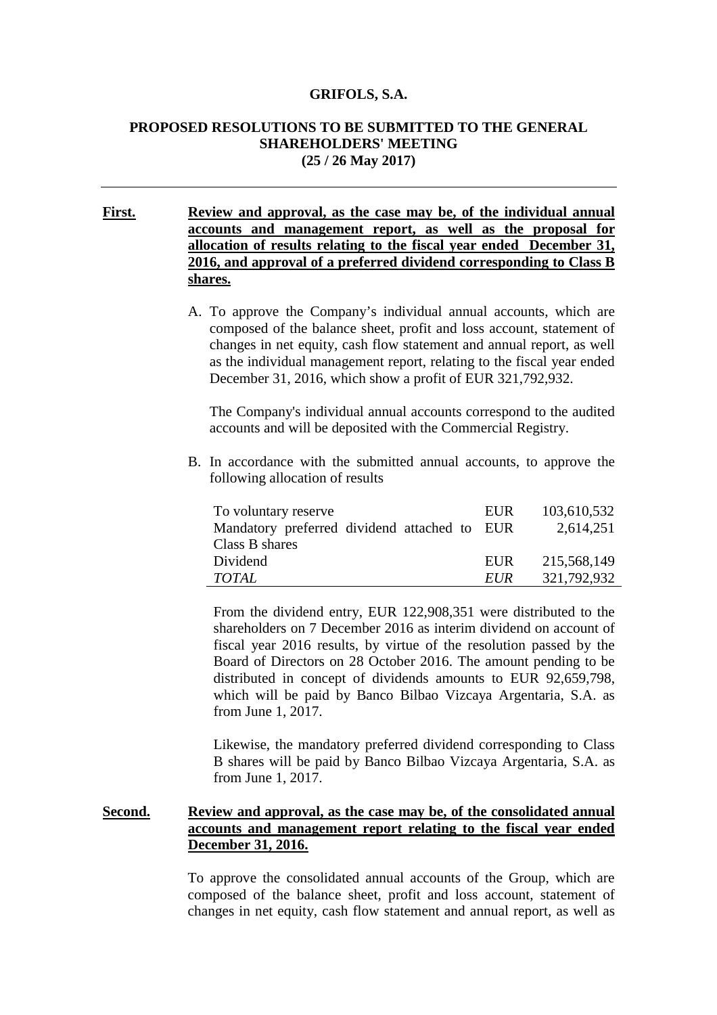#### **GRIFOLS, S.A.**

## **PROPOSED RESOLUTIONS TO BE SUBMITTED TO THE GENERAL SHAREHOLDERS' MEETING (25 / 26 May 2017)**

**First. Review and approval, as the case may be, of the individual annual accounts and management report, as well as the proposal for allocation of results relating to the fiscal year ended December 31, 2016, and approval of a preferred dividend corresponding to Class B shares.** 

> A. To approve the Company's individual annual accounts, which are composed of the balance sheet, profit and loss account, statement of changes in net equity, cash flow statement and annual report, as well as the individual management report, relating to the fiscal year ended December 31, 2016, which show a profit of EUR 321,792,932.

The Company's individual annual accounts correspond to the audited accounts and will be deposited with the Commercial Registry.

B. In accordance with the submitted annual accounts, to approve the following allocation of results

| To voluntary reserve                         | EUR        | 103,610,532 |
|----------------------------------------------|------------|-------------|
| Mandatory preferred dividend attached to EUR |            | 2,614,251   |
| Class B shares                               |            |             |
| Dividend                                     | EUR        | 215,568,149 |
| <b>TOTAL</b>                                 | <i>EUR</i> | 321,792,932 |

From the dividend entry, EUR 122,908,351 were distributed to the shareholders on 7 December 2016 as interim dividend on account of fiscal year 2016 results, by virtue of the resolution passed by the Board of Directors on 28 October 2016. The amount pending to be distributed in concept of dividends amounts to EUR 92,659,798, which will be paid by Banco Bilbao Vizcaya Argentaria, S.A. as from June 1, 2017.

Likewise, the mandatory preferred dividend corresponding to Class B shares will be paid by Banco Bilbao Vizcaya Argentaria, S.A. as from June 1, 2017.

## **Second. Review and approval, as the case may be, of the consolidated annual accounts and management report relating to the fiscal year ended December 31, 2016.**

To approve the consolidated annual accounts of the Group, which are composed of the balance sheet, profit and loss account, statement of changes in net equity, cash flow statement and annual report, as well as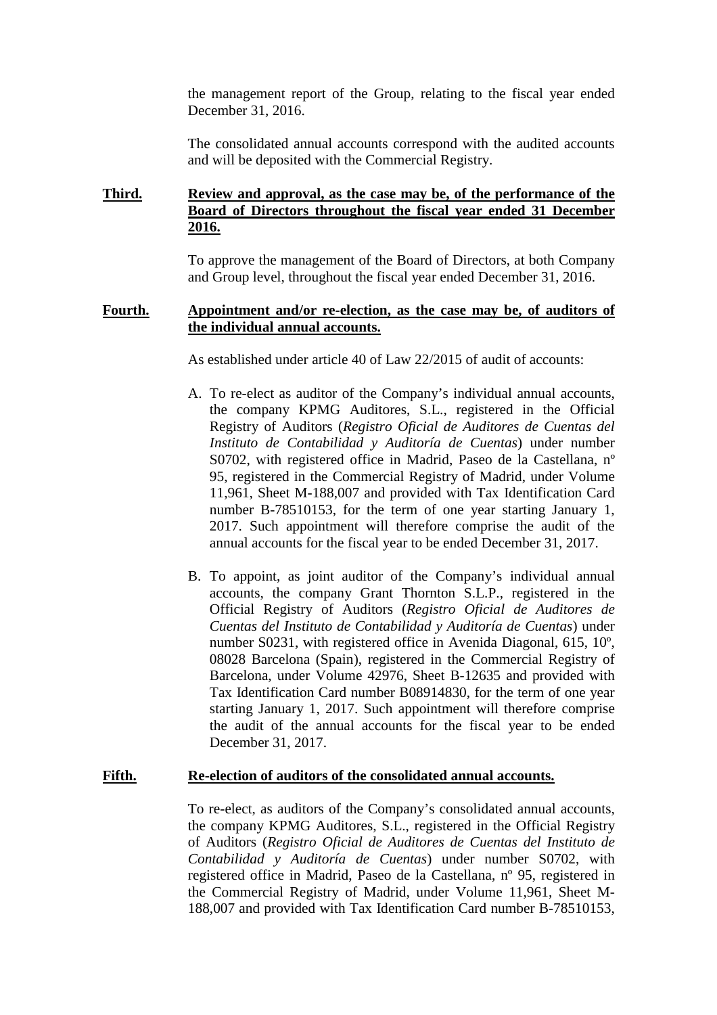the management report of the Group, relating to the fiscal year ended December 31, 2016.

The consolidated annual accounts correspond with the audited accounts and will be deposited with the Commercial Registry.

# **Third. Review and approval, as the case may be, of the performance of the Board of Directors throughout the fiscal year ended 31 December 2016.**

To approve the management of the Board of Directors, at both Company and Group level, throughout the fiscal year ended December 31, 2016.

#### **Fourth. Appointment and/or re-election, as the case may be, of auditors of the individual annual accounts.**

As established under article 40 of Law 22/2015 of audit of accounts:

- A. To re-elect as auditor of the Company's individual annual accounts, the company KPMG Auditores, S.L., registered in the Official Registry of Auditors (*Registro Oficial de Auditores de Cuentas del Instituto de Contabilidad y Auditoría de Cuentas*) under number S0702, with registered office in Madrid, Paseo de la Castellana, nº 95, registered in the Commercial Registry of Madrid, under Volume 11,961, Sheet M-188,007 and provided with Tax Identification Card number B-78510153, for the term of one year starting January 1, 2017. Such appointment will therefore comprise the audit of the annual accounts for the fiscal year to be ended December 31, 2017.
- B. To appoint, as joint auditor of the Company's individual annual accounts, the company Grant Thornton S.L.P., registered in the Official Registry of Auditors (*Registro Oficial de Auditores de Cuentas del Instituto de Contabilidad y Auditoría de Cuentas*) under number S0231, with registered office in Avenida Diagonal, 615, 10º, 08028 Barcelona (Spain), registered in the Commercial Registry of Barcelona, under Volume 42976, Sheet B-12635 and provided with Tax Identification Card number B08914830, for the term of one year starting January 1, 2017. Such appointment will therefore comprise the audit of the annual accounts for the fiscal year to be ended December 31, 2017.

#### **Fifth. Re-election of auditors of the consolidated annual accounts.**

To re-elect, as auditors of the Company's consolidated annual accounts, the company KPMG Auditores, S.L., registered in the Official Registry of Auditors (*Registro Oficial de Auditores de Cuentas del Instituto de Contabilidad y Auditoría de Cuentas*) under number S0702, with registered office in Madrid, Paseo de la Castellana, nº 95, registered in the Commercial Registry of Madrid, under Volume 11,961, Sheet M-188,007 and provided with Tax Identification Card number B-78510153,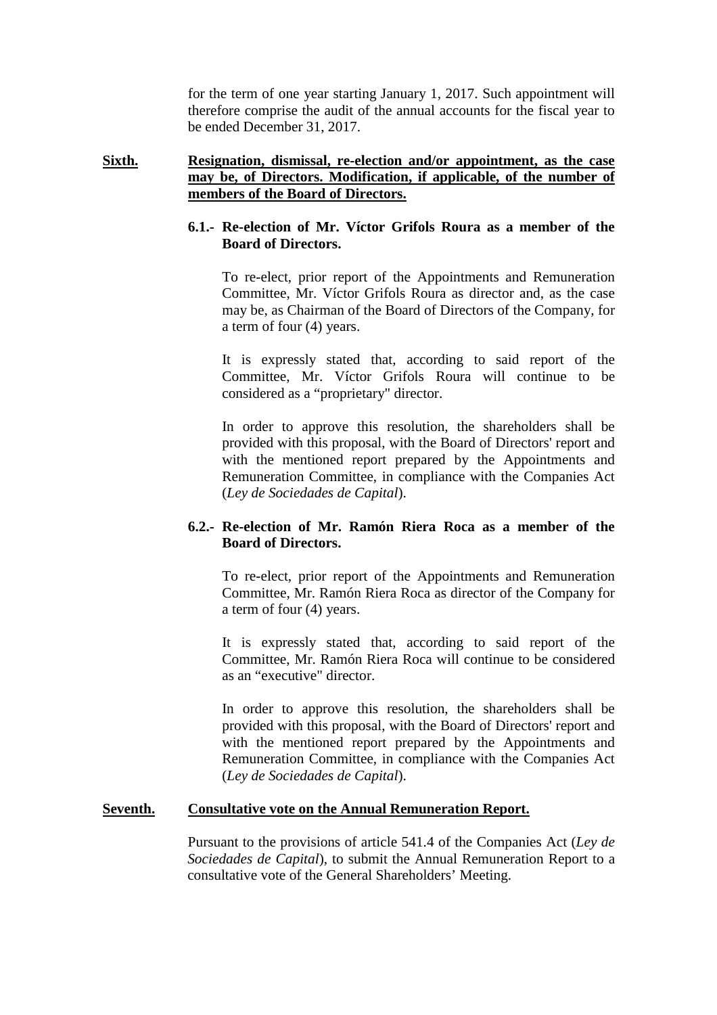for the term of one year starting January 1, 2017. Such appointment will therefore comprise the audit of the annual accounts for the fiscal year to be ended December 31, 2017.

## **Sixth. Resignation, dismissal, re-election and/or appointment, as the case may be, of Directors. Modification, if applicable, of the number of members of the Board of Directors.**

## **6.1.- Re-election of Mr. Víctor Grifols Roura as a member of the Board of Directors.**

To re-elect, prior report of the Appointments and Remuneration Committee, Mr. Víctor Grifols Roura as director and, as the case may be, as Chairman of the Board of Directors of the Company, for a term of four (4) years.

It is expressly stated that, according to said report of the Committee, Mr. Víctor Grifols Roura will continue to be considered as a "proprietary" director.

In order to approve this resolution, the shareholders shall be provided with this proposal, with the Board of Directors' report and with the mentioned report prepared by the Appointments and Remuneration Committee, in compliance with the Companies Act (*Ley de Sociedades de Capital*).

## **6.2.- Re-election of Mr. Ramón Riera Roca as a member of the Board of Directors.**

To re-elect, prior report of the Appointments and Remuneration Committee, Mr. Ramón Riera Roca as director of the Company for a term of four (4) years.

It is expressly stated that, according to said report of the Committee, Mr. Ramón Riera Roca will continue to be considered as an "executive" director.

In order to approve this resolution, the shareholders shall be provided with this proposal, with the Board of Directors' report and with the mentioned report prepared by the Appointments and Remuneration Committee, in compliance with the Companies Act (*Ley de Sociedades de Capital*).

#### **Seventh. Consultative vote on the Annual Remuneration Report.**

Pursuant to the provisions of article 541.4 of the Companies Act (*Ley de Sociedades de Capital*), to submit the Annual Remuneration Report to a consultative vote of the General Shareholders' Meeting.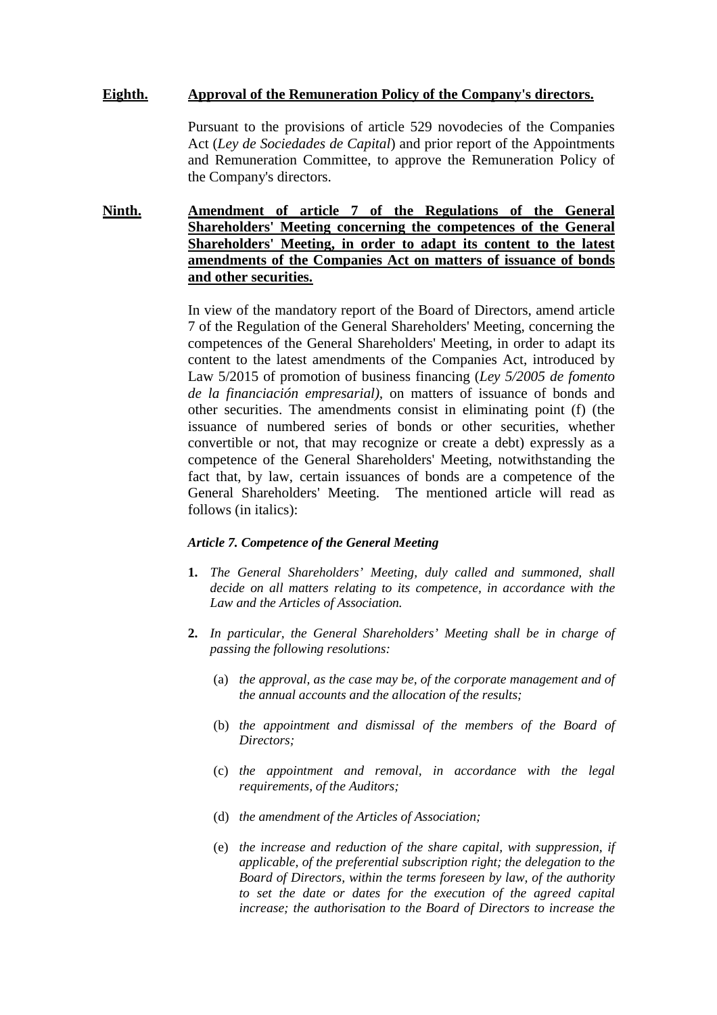## **Eighth. Approval of the Remuneration Policy of the Company's directors.**

Pursuant to the provisions of article 529 novodecies of the Companies Act (*Ley de Sociedades de Capital*) and prior report of the Appointments and Remuneration Committee, to approve the Remuneration Policy of the Company's directors.

**Ninth. Amendment of article 7 of the Regulations of the General Shareholders' Meeting concerning the competences of the General Shareholders' Meeting, in order to adapt its content to the latest amendments of the Companies Act on matters of issuance of bonds and other securities.**

> In view of the mandatory report of the Board of Directors, amend article 7 of the Regulation of the General Shareholders' Meeting, concerning the competences of the General Shareholders' Meeting, in order to adapt its content to the latest amendments of the Companies Act, introduced by Law 5/2015 of promotion of business financing (*Ley 5/2005 de fomento de la financiación empresarial),* on matters of issuance of bonds and other securities. The amendments consist in eliminating point (f) (the issuance of numbered series of bonds or other securities, whether convertible or not, that may recognize or create a debt) expressly as a competence of the General Shareholders' Meeting, notwithstanding the fact that, by law, certain issuances of bonds are a competence of the General Shareholders' Meeting. The mentioned article will read as follows (in italics):

#### *Article 7. Competence of the General Meeting*

- **1.** *The General Shareholders' Meeting, duly called and summoned, shall decide on all matters relating to its competence, in accordance with the Law and the Articles of Association.*
- **2.** *In particular, the General Shareholders' Meeting shall be in charge of passing the following resolutions:* 
	- (a) *the approval, as the case may be, of the corporate management and of the annual accounts and the allocation of the results;*
	- (b) *the appointment and dismissal of the members of the Board of Directors;*
	- (c) *the appointment and removal, in accordance with the legal requirements, of the Auditors;*
	- (d) *the amendment of the Articles of Association;*
	- (e) *the increase and reduction of the share capital, with suppression, if applicable, of the preferential subscription right; the delegation to the Board of Directors, within the terms foreseen by law, of the authority to set the date or dates for the execution of the agreed capital increase; the authorisation to the Board of Directors to increase the*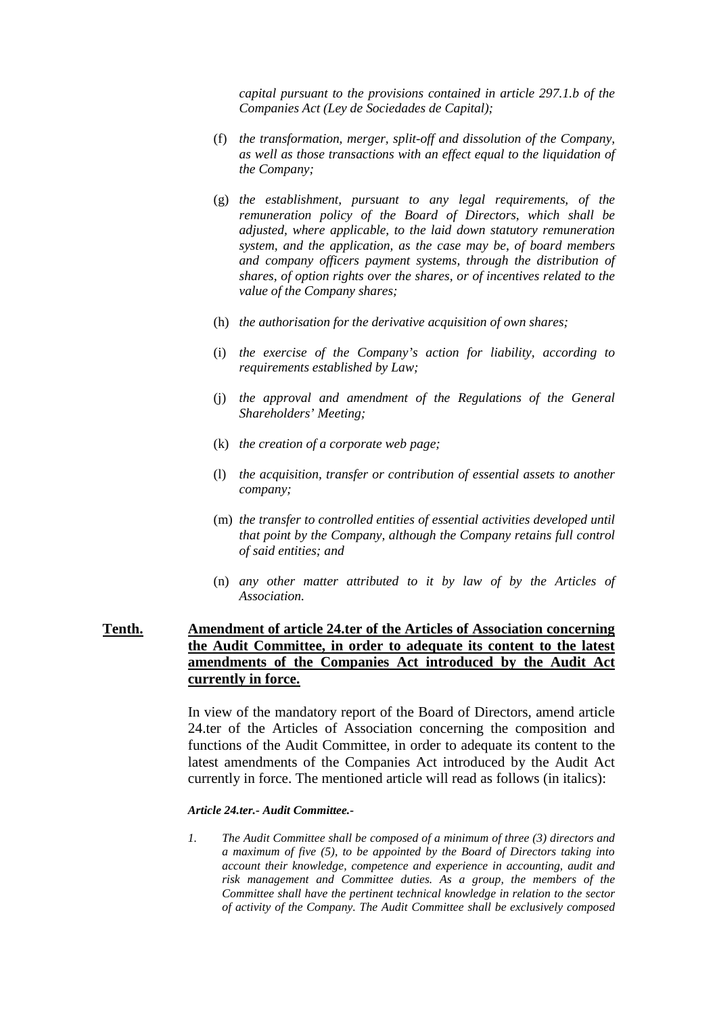*capital pursuant to the provisions contained in article 297.1.b of the Companies Act (Ley de Sociedades de Capital);* 

- (f) *the transformation, merger, split-off and dissolution of the Company, as well as those transactions with an effect equal to the liquidation of the Company;*
- (g) *the establishment, pursuant to any legal requirements, of the remuneration policy of the Board of Directors, which shall be adjusted, where applicable, to the laid down statutory remuneration system, and the application, as the case may be, of board members and company officers payment systems, through the distribution of shares, of option rights over the shares, or of incentives related to the value of the Company shares;*
- (h) *the authorisation for the derivative acquisition of own shares;*
- (i) *the exercise of the Company's action for liability, according to requirements established by Law;*
- (j) *the approval and amendment of the Regulations of the General Shareholders' Meeting;*
- (k) *the creation of a corporate web page;*
- (l) *the acquisition, transfer or contribution of essential assets to another company;*
- (m) *the transfer to controlled entities of essential activities developed until that point by the Company, although the Company retains full control of said entities; and*
- (n) *any other matter attributed to it by law of by the Articles of Association.*

## **Tenth. Amendment of article 24.ter of the Articles of Association concerning the Audit Committee, in order to adequate its content to the latest amendments of the Companies Act introduced by the Audit Act currently in force.**

In view of the mandatory report of the Board of Directors, amend article 24.ter of the Articles of Association concerning the composition and functions of the Audit Committee, in order to adequate its content to the latest amendments of the Companies Act introduced by the Audit Act currently in force. The mentioned article will read as follows (in italics):

#### *Article 24.ter.- Audit Committee.-*

*1. The Audit Committee shall be composed of a minimum of three (3) directors and a maximum of five (5), to be appointed by the Board of Directors taking into account their knowledge, competence and experience in accounting, audit and risk management and Committee duties. As a group, the members of the Committee shall have the pertinent technical knowledge in relation to the sector of activity of the Company. The Audit Committee shall be exclusively composed*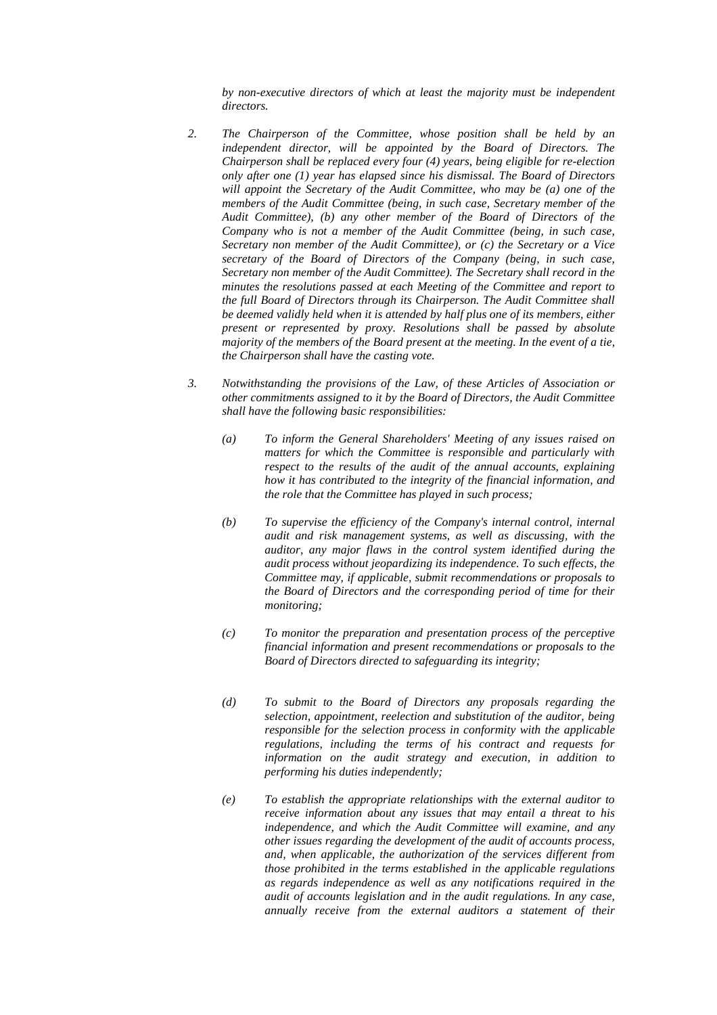*by non-executive directors of which at least the majority must be independent directors.* 

- *2. The Chairperson of the Committee, whose position shall be held by an independent director, will be appointed by the Board of Directors. The Chairperson shall be replaced every four (4) years, being eligible for re-election only after one (1) year has elapsed since his dismissal. The Board of Directors will appoint the Secretary of the Audit Committee, who may be (a) one of the members of the Audit Committee (being, in such case, Secretary member of the Audit Committee), (b) any other member of the Board of Directors of the Company who is not a member of the Audit Committee (being, in such case, Secretary non member of the Audit Committee), or (c) the Secretary or a Vice secretary of the Board of Directors of the Company (being, in such case, Secretary non member of the Audit Committee). The Secretary shall record in the minutes the resolutions passed at each Meeting of the Committee and report to the full Board of Directors through its Chairperson. The Audit Committee shall be deemed validly held when it is attended by half plus one of its members, either present or represented by proxy. Resolutions shall be passed by absolute majority of the members of the Board present at the meeting. In the event of a tie, the Chairperson shall have the casting vote.*
- *3. Notwithstanding the provisions of the Law, of these Articles of Association or other commitments assigned to it by the Board of Directors, the Audit Committee shall have the following basic responsibilities:* 
	- *(a) To inform the General Shareholders' Meeting of any issues raised on matters for which the Committee is responsible and particularly with respect to the results of the audit of the annual accounts, explaining how it has contributed to the integrity of the financial information, and the role that the Committee has played in such process;*
	- *(b) To supervise the efficiency of the Company's internal control, internal audit and risk management systems, as well as discussing, with the auditor, any major flaws in the control system identified during the audit process without jeopardizing its independence. To such effects, the Committee may, if applicable, submit recommendations or proposals to the Board of Directors and the corresponding period of time for their monitoring;*
	- *(c) To monitor the preparation and presentation process of the perceptive financial information and present recommendations or proposals to the Board of Directors directed to safeguarding its integrity;*
	- *(d) To submit to the Board of Directors any proposals regarding the selection, appointment, reelection and substitution of the auditor, being responsible for the selection process in conformity with the applicable regulations, including the terms of his contract and requests for information on the audit strategy and execution, in addition to performing his duties independently;*
	- *(e) To establish the appropriate relationships with the external auditor to receive information about any issues that may entail a threat to his independence, and which the Audit Committee will examine, and any other issues regarding the development of the audit of accounts process, and, when applicable, the authorization of the services different from those prohibited in the terms established in the applicable regulations as regards independence as well as any notifications required in the audit of accounts legislation and in the audit regulations. In any case, annually receive from the external auditors a statement of their*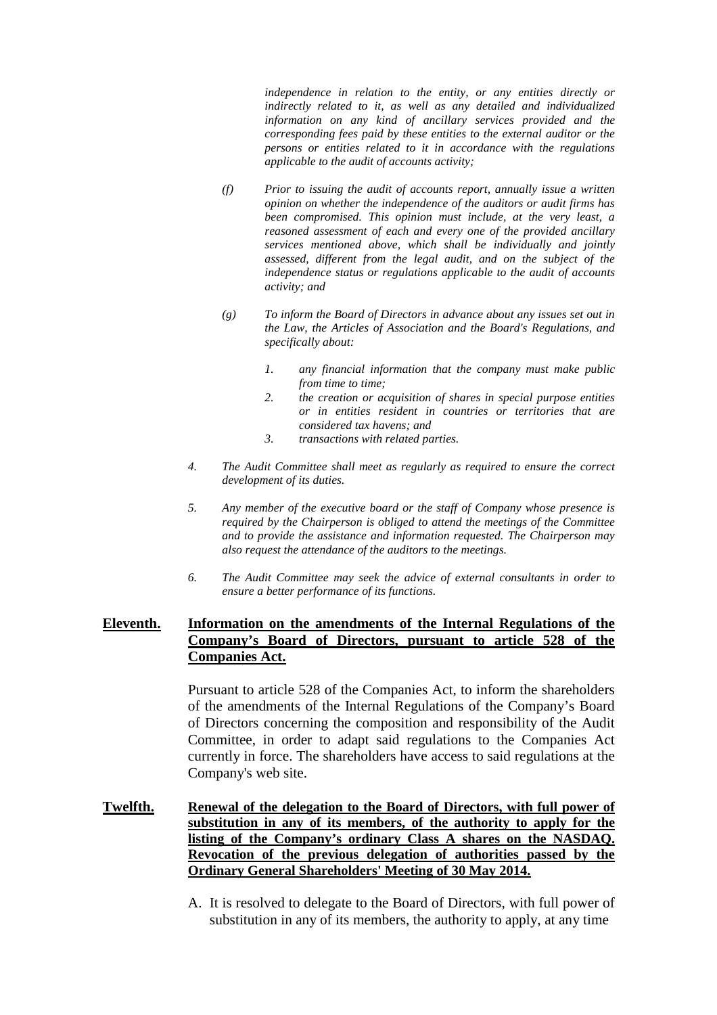*independence in relation to the entity, or any entities directly or indirectly related to it, as well as any detailed and individualized information on any kind of ancillary services provided and the corresponding fees paid by these entities to the external auditor or the persons or entities related to it in accordance with the regulations applicable to the audit of accounts activity;* 

- *(f) Prior to issuing the audit of accounts report, annually issue a written opinion on whether the independence of the auditors or audit firms has been compromised. This opinion must include, at the very least, a reasoned assessment of each and every one of the provided ancillary services mentioned above, which shall be individually and jointly assessed, different from the legal audit, and on the subject of the independence status or regulations applicable to the audit of accounts activity; and*
- *(g) To inform the Board of Directors in advance about any issues set out in the Law, the Articles of Association and the Board's Regulations, and specifically about:* 
	- *1. any financial information that the company must make public from time to time;*
	- *2. the creation or acquisition of shares in special purpose entities or in entities resident in countries or territories that are considered tax havens; and*
	- *3. transactions with related parties.*
- *4. The Audit Committee shall meet as regularly as required to ensure the correct development of its duties.*
- *5. Any member of the executive board or the staff of Company whose presence is required by the Chairperson is obliged to attend the meetings of the Committee and to provide the assistance and information requested. The Chairperson may also request the attendance of the auditors to the meetings.*
- *6. The Audit Committee may seek the advice of external consultants in order to ensure a better performance of its functions.*

## **Eleventh. Information on the amendments of the Internal Regulations of the Company's Board of Directors, pursuant to article 528 of the Companies Act.**

Pursuant to article 528 of the Companies Act, to inform the shareholders of the amendments of the Internal Regulations of the Company's Board of Directors concerning the composition and responsibility of the Audit Committee, in order to adapt said regulations to the Companies Act currently in force. The shareholders have access to said regulations at the Company's web site.

- **Twelfth. Renewal of the delegation to the Board of Directors, with full power of substitution in any of its members, of the authority to apply for the listing of the Company's ordinary Class A shares on the NASDAQ. Revocation of the previous delegation of authorities passed by the Ordinary General Shareholders' Meeting of 30 May 2014.** 
	- A. It is resolved to delegate to the Board of Directors, with full power of substitution in any of its members, the authority to apply, at any time